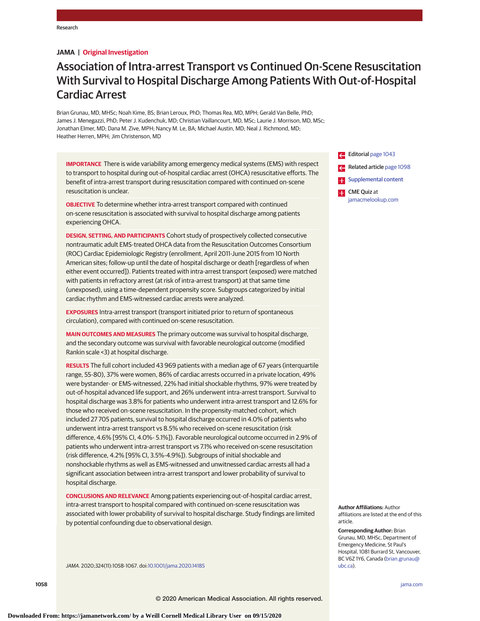**JAMA | Original Investigation**

# Association of Intra-arrest Transport vs Continued On-Scene Resuscitation With Survival to Hospital Discharge Among Patients With Out-of-Hospital Cardiac Arrest

Brian Grunau, MD, MHSc; Noah Kime, BS; Brian Leroux, PhD; Thomas Rea, MD, MPH; Gerald Van Belle, PhD; James J. Menegazzi, PhD; Peter J. Kudenchuk, MD; Christian Vaillancourt, MD, MSc; Laurie J. Morrison, MD, MSc; Jonathan Elmer, MD; Dana M. Zive, MPH; Nancy M. Le, BA; Michael Austin, MD; Neal J. Richmond, MD; Heather Herren, MPH; Jim Christenson, MD

**IMPORTANCE** There is wide variability among emergency medical systems (EMS) with respect to transport to hospital during out-of-hospital cardiac arrest (OHCA) resuscitative efforts. The benefit of intra-arrest transport during resuscitation compared with continued on-scene resuscitation is unclear.

**OBJECTIVE** To determine whether intra-arrest transport compared with continued on-scene resuscitation is associated with survival to hospital discharge among patients experiencing OHCA.

**DESIGN, SETTING, AND PARTICIPANTS** Cohort study of prospectively collected consecutive nontraumatic adult EMS-treated OHCA data from the Resuscitation Outcomes Consortium (ROC) Cardiac Epidemiologic Registry (enrollment, April 2011-June 2015 from 10 North American sites; follow-up until the date of hospital discharge or death [regardless of when either event occurred]). Patients treated with intra-arrest transport (exposed) were matched with patients in refractory arrest (at risk of intra-arrest transport) at that same time (unexposed), using a time-dependent propensity score. Subgroups categorized by initial cardiac rhythm and EMS-witnessed cardiac arrests were analyzed.

**EXPOSURES** Intra-arrest transport (transport initiated prior to return of spontaneous circulation), compared with continued on-scene resuscitation.

**MAIN OUTCOMES AND MEASURES** The primary outcome was survival to hospital discharge, and the secondary outcome was survival with favorable neurological outcome (modified Rankin scale <3) at hospital discharge.

**RESULTS** The full cohort included 43 969 patients with a median age of 67 years (interquartile range, 55-80), 37% were women, 86% of cardiac arrests occurred in a private location, 49% were bystander- or EMS-witnessed, 22% had initial shockable rhythms, 97% were treated by out-of-hospital advanced life support, and 26% underwent intra-arrest transport. Survival to hospital discharge was 3.8% for patients who underwent intra-arrest transport and 12.6% for those who received on-scene resuscitation. In the propensity-matched cohort, which included 27 705 patients, survival to hospital discharge occurred in 4.0% of patients who underwent intra-arrest transport vs 8.5% who received on-scene resuscitation (risk difference, 4.6% [95% CI, 4.0%- 5.1%]). Favorable neurological outcome occurred in 2.9% of patients who underwent intra-arrest transport vs 7.1% who received on-scene resuscitation (risk difference, 4.2% [95% CI, 3.5%-4.9%]). Subgroups of initial shockable and nonshockable rhythms as well as EMS-witnessed and unwitnessed cardiac arrests all had a significant association between intra-arrest transport and lower probability of survival to hospital discharge.

**CONCLUSIONS AND RELEVANCE** Among patients experiencing out-of-hospital cardiac arrest, intra-arrest transport to hospital compared with continued on-scene resuscitation was associated with lower probability of survival to hospital discharge. Study findings are limited by potential confounding due to observational design.

JAMA. 2020;324(11):1058-1067. doi[:10.1001/jama.2020.14185](https://jamanetwork.com/journals/jama/fullarticle/10.1001/jama.2020.14185?utm_campaign=articlePDF%26utm_medium=articlePDFlink%26utm_source=articlePDF%26utm_content=jama.2020.14185)

Editorial [page 1043](https://jamanetwork.com/journals/jama/fullarticle/10.1001/jama.2020.9245?utm_campaign=articlePDF%26utm_medium=articlePDFlink%26utm_source=articlePDF%26utm_content=jama.2020.14185) Related article [page 1098](https://jamanetwork.com/journals/jama/fullarticle/10.1001/jama.2020.12698?utm_campaign=articlePDF%26utm_medium=articlePDFlink%26utm_source=articlePDF%26utm_content=jama.2020.14185) **Examplemental content CME** Quiz at [jamacmelookup.com](https://jama.jamanetwork.com/learning/article-quiz/10.1001/jama.2020.14185?utm_campaign=articlePDF%26utm_medium=articlePDFlink%26utm_source=articlePDF%26utm_content=jama.2020.14185)

**Author Affiliations:** Author affiliations are listed at the end of this article.

**Corresponding Author:** Brian Grunau, MD, MHSc, Department of Emergency Medicine, St Paul's Hospital, 1081 Burrard St, Vancouver, BC V6Z 1Y6, Canada [\(brian.grunau@](mailto:brian.grunau@ubc.ca) [ubc.ca\)](mailto:brian.grunau@ubc.ca).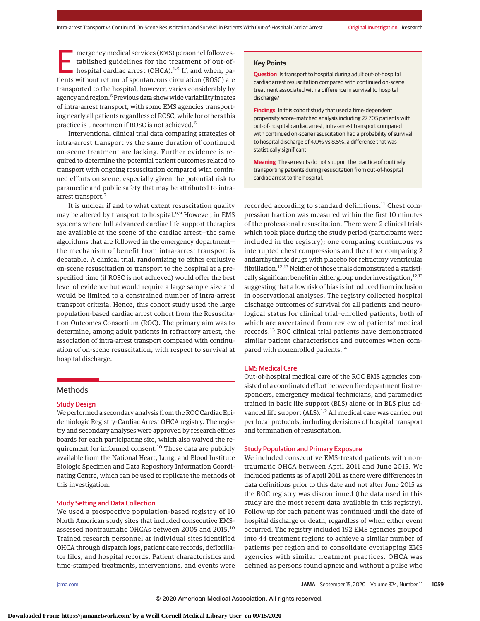mergency medical services (EMS) personnel follow es-<br>tablished guidelines for the treatment of out-of-<br>hospital cardiac arrest (OHCA).<sup>1-5</sup> If, and when, pa-<br>tionts without return of spontaneous circulation (POSC) are tablished guidelines for the treatment of out-oftients without return of spontaneous circulation (ROSC) are transported to the hospital, however, varies considerably by agency and region.<sup>6</sup> Previous data show wide variability in rates of intra-arrest transport, with some EMS agencies transporting nearly all patients regardless of ROSC, while for others this practice is uncommon if ROSC is not achieved.<sup>6</sup>

Interventional clinical trial data comparing strategies of intra-arrest transport vs the same duration of continued on-scene treatment are lacking. Further evidence is required to determine the potential patient outcomes related to transport with ongoing resuscitation compared with continued efforts on scene, especially given the potential risk to paramedic and public safety that may be attributed to intraarrest transport.<sup>7</sup>

It is unclear if and to what extent resuscitation quality may be altered by transport to hospital.<sup>8,9</sup> However, in EMS systems where full advanced cardiac life support therapies are available at the scene of the cardiac arrest—the same algorithms that are followed in the emergency department the mechanism of benefit from intra-arrest transport is debatable. A clinical trial, randomizing to either exclusive on-scene resuscitation or transport to the hospital at a prespecified time (if ROSC is not achieved) would offer the best level of evidence but would require a large sample size and would be limited to a constrained number of intra-arrest transport criteria. Hence, this cohort study used the large population-based cardiac arrest cohort from the Resuscitation Outcomes Consortium (ROC). The primary aim was to determine, among adult patients in refractory arrest, the association of intra-arrest transport compared with continuation of on-scene resuscitation, with respect to survival at hospital discharge.

## **Methods**

## Study Design

We performed a secondary analysis from the ROC Cardiac Epidemiologic Registry-Cardiac Arrest OHCA registry. The registry and secondary analyses were approved by research ethics boards for each participating site, which also waived the requirement for informed consent.<sup>10</sup> These data are publicly available from the National Heart, Lung, and Blood Institute Biologic Specimen and Data Repository Information Coordinating Centre, which can be used to replicate the methods of this investigation.

## Study Setting and Data Collection

We used a prospective population-based registry of 10 North American study sites that included consecutive EMSassessed nontraumatic OHCAs between 2005 and 2015.<sup>10</sup> Trained research personnel at individual sites identified OHCA through dispatch logs, patient care records, defibrillator files, and hospital records. Patient characteristics and time-stamped treatments, interventions, and events were

## **Key Points**

**Question** Is transport to hospital during adult out-of-hospital cardiac arrest resuscitation compared with continued on-scene treatment associated with a difference in survival to hospital discharge?

**Findings** In this cohort study that used a time-dependent propensity score–matched analysis including 27 705 patients with out-of-hospital cardiac arrest, intra-arrest transport compared with continued on-scene resuscitation had a probability of survival to hospital discharge of 4.0% vs 8.5%, a difference that was statistically significant.

**Meaning** These results do not support the practice of routinely transporting patients during resuscitation from out-of-hospital cardiac arrest to the hospital.

recorded according to standard definitions.<sup>11</sup> Chest compression fraction was measured within the first 10 minutes of the professional resuscitation. There were 2 clinical trials which took place during the study period (participants were included in the registry); one comparing continuous vs interrupted chest compressions and the other comparing 2 antiarrhythmic drugs with placebo for refractory ventricular fibrillation.<sup>12,13</sup> Neither of these trials demonstrated a statistically significant benefit in either group under investigation, $12,13$ suggesting that a low risk of bias is introduced from inclusion in observational analyses. The registry collected hospital discharge outcomes of survival for all patients and neurological status for clinical trial–enrolled patients, both of which are ascertained from review of patients' medical records.<sup>13</sup> ROC clinical trial patients have demonstrated similar patient characteristics and outcomes when compared with nonenrolled patients.<sup>14</sup>

#### EMS Medical Care

Out-of-hospital medical care of the ROC EMS agencies consisted of a coordinated effort between fire department first responders, emergency medical technicians, and paramedics trained in basic life support (BLS) alone or in BLS plus advanced life support (ALS).<sup>1,2</sup> All medical care was carried out per local protocols, including decisions of hospital transport and termination of resuscitation.

## Study Population and Primary Exposure

We included consecutive EMS-treated patients with nontraumatic OHCA between April 2011 and June 2015. We included patients as of April 2011 as there were differences in data definitions prior to this date and not after June 2015 as the ROC registry was discontinued (the data used in this study are the most recent data available in this registry). Follow-up for each patient was continued until the date of hospital discharge or death, regardless of when either event occurred. The registry included 192 EMS agencies grouped into 44 treatment regions to achieve a similar number of patients per region and to consolidate overlapping EMS agencies with similar treatment practices. OHCA was defined as persons found apneic and without a pulse who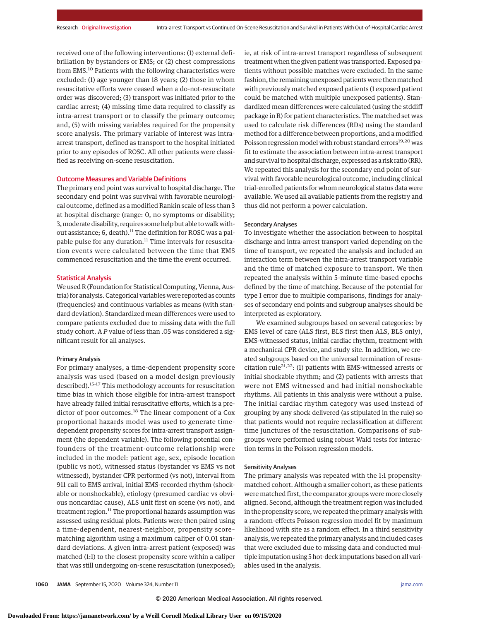received one of the following interventions: (1) external defibrillation by bystanders or EMS; or (2) chest compressions from EMS.<sup>10</sup> Patients with the following characteristics were excluded: (1) age younger than 18 years; (2) those in whom resuscitative efforts were ceased when a do-not-resuscitate order was discovered; (3) transport was initiated prior to the cardiac arrest; (4) missing time data required to classify as intra-arrest transport or to classify the primary outcome; and, (5) with missing variables required for the propensity score analysis. The primary variable of interest was intraarrest transport, defined as transport to the hospital initiated prior to any episodes of ROSC. All other patients were classified as receiving on-scene resuscitation.

#### Outcome Measures and Variable Definitions

The primary end point was survival to hospital discharge. The secondary end point was survival with favorable neurological outcome, defined as a modified Rankin scale of less than 3 at hospital discharge (range: 0, no symptoms or disability; 3, moderate disability, requires some help but able to walk without assistance; 6, death).<sup>11</sup> The definition for ROSC was a palpable pulse for any duration.<sup>11</sup> Time intervals for resuscitation events were calculated between the time that EMS commenced resuscitation and the time the event occurred.

## Statistical Analysis

We used R (Foundation for Statistical Computing, Vienna, Austria) for analysis. Categorical variables were reported as counts (frequencies) and continuous variables as means (with standard deviation). Standardized mean differences were used to compare patients excluded due to missing data with the full study cohort. A *P* value of less than .05 was considered a significant result for all analyses.

#### Primary Analysis

For primary analyses, a time-dependent propensity score analysis was used (based on a model design previously described).15-17 This methodology accounts for resuscitation time bias in which those eligible for intra-arrest transport have already failed initial resuscitative efforts, which is a predictor of poor outcomes.<sup>18</sup> The linear component of a Cox proportional hazards model was used to generate timedependent propensity scores for intra-arrest transport assignment (the dependent variable). The following potential confounders of the treatment-outcome relationship were included in the model: patient age, sex, episode location (public vs not), witnessed status (bystander vs EMS vs not witnessed), bystander CPR performed (vs not), interval from 911 call to EMS arrival, initial EMS-recorded rhythm (shockable or nonshockable), etiology (presumed cardiac vs obvious noncardiac cause), ALS unit first on scene (vs not), and treatment region.<sup>11</sup> The proportional hazards assumption was assessed using residual plots. Patients were then paired using a time-dependent, nearest-neighbor, propensity score– matching algorithm using a maximum caliper of 0.01 standard deviations. A given intra-arrest patient (exposed) was matched (1:1) to the closest propensity score within a caliper that was still undergoing on-scene resuscitation (unexposed);

ie, at risk of intra-arrest transport regardless of subsequent treatment when the given patient was transported.Exposed patients without possible matches were excluded. In the same fashion, the remaining unexposed patients were then matched with previously matched exposed patients (1 exposed patient could be matched with multiple unexposed patients). Standardized mean differences were calculated (using the stddiff package in R) for patient characteristics. The matched set was used to calculate risk differences (RDs) using the standard method for a difference between proportions, and a modified Poisson regression model with robust standard errors<sup>19,20</sup> was fit to estimate the association between intra-arrest transport and survival to hospital discharge, expressed as a risk ratio (RR). We repeated this analysis for the secondary end point of survival with favorable neurological outcome, including clinical trial-enrolled patients for whom neurological status data were available. We used all available patients from the registry and thus did not perform a power calculation.

## Secondary Analyses

To investigate whether the association between to hospital discharge and intra-arrest transport varied depending on the time of transport, we repeated the analysis and included an interaction term between the intra-arrest transport variable and the time of matched exposure to transport. We then repeated the analysis within 5-minute time-based epochs defined by the time of matching. Because of the potential for type I error due to multiple comparisons, findings for analyses of secondary end points and subgroup analyses should be interpreted as exploratory.

We examined subgroups based on several categories: by EMS level of care (ALS first, BLS first then ALS, BLS only), EMS-witnessed status, initial cardiac rhythm, treatment with a mechanical CPR device, and study site. In addition, we created subgroups based on the universal termination of resuscitation rule21,22: (1) patients with EMS-witnessed arrests or initial shockable rhythm; and (2) patients with arrests that were not EMS witnessed and had initial nonshockable rhythms. All patients in this analysis were without a pulse. The initial cardiac rhythm category was used instead of grouping by any shock delivered (as stipulated in the rule) so that patients would not require reclassification at different time junctures of the resuscitation. Comparisons of subgroups were performed using robust Wald tests for interaction terms in the Poisson regression models.

## Sensitivity Analyses

The primary analysis was repeated with the 1:1 propensitymatched cohort. Although a smaller cohort, as these patients were matched first, the comparator groups were more closely aligned. Second, although the treatment region was included in the propensity score, we repeated the primary analysis with a random-effects Poisson regression model fit by maximum likelihood with site as a random effect. In a third sensitivity analysis, we repeated the primary analysis and included cases that were excluded due to missing data and conducted multiple imputation using 5 hot-deck imputations based on all variables used in the analysis.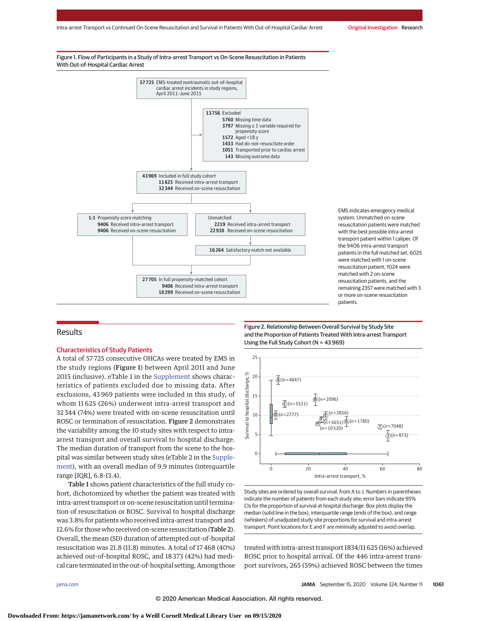

EMS indicates emergency medical system. Unmatched on-scene resuscitation patients were matched with the best possible intra-arrest transport patient within 1 caliper. Of the 9406 intra-arrest transport patients in the full matched set, 6025 were matched with 1 on-scene resuscitation patient, 1024 were matched with 2 on-scene resuscitation patients, and the remaining 2357 were matched with 3 or more on-scene resuscitation patients.

## **Results**

## Characteristics of Study Patients

A total of 57 725 consecutive OHCAs were treated by EMS in the study regions (Figure 1) between April 2011 and June 2015 (inclusive). eTable 1 in the [Supplement](https://jamanetwork.com/journals/jama/fullarticle/10.1001/jama.2020.14185?utm_campaign=articlePDF%26utm_medium=articlePDFlink%26utm_source=articlePDF%26utm_content=jama.2020.14185) shows characteristics of patients excluded due to missing data. After exclusions, 43 969 patients were included in this study, of whom 11 625 (26%) underwent intra-arrest transport and 32 344 (74%) were treated with on-scene resuscitation until ROSC or termination of resuscitation. Figure 2 demonstrates the variability among the 10 study sites with respect to intraarrest transport and overall survival to hospital discharge. The median duration of transport from the scene to the hospital was similar between study sites (eTable 2 in the [Supple](https://jamanetwork.com/journals/jama/fullarticle/10.1001/jama.2020.14185?utm_campaign=articlePDF%26utm_medium=articlePDFlink%26utm_source=articlePDF%26utm_content=jama.2020.14185)[ment\)](https://jamanetwork.com/journals/jama/fullarticle/10.1001/jama.2020.14185?utm_campaign=articlePDF%26utm_medium=articlePDFlink%26utm_source=articlePDF%26utm_content=jama.2020.14185), with an overall median of 9.9 minutes (interquartile range [IQR], 6.8-13.4).

Table 1 shows patient characteristics of the full study cohort, dichotomized by whether the patient was treated with intra-arrest transport or on-scene resuscitation until termination of resuscitation or ROSC. Survival to hospital discharge was 3.8% for patients who received intra-arrest transport and 12.6% for those who received on-scene resuscitation (Table 2). Overall, the mean (SD) duration of attempted out-of-hospital resuscitation was 21.8 (11.8) minutes. A total of 17 468 (40%) achieved out-of-hospital ROSC, and 18 373 (42%) had medical care terminated in the out-of-hospital setting. Among those

Figure 2. Relationship Between Overall Survival by Study Site and the Proportion of Patients Treated With Intra-arrest Transport Using the Full Study Cohort (N = 43 969)



Study sites are ordered by overall survival, from A to J. Numbers in parentheses indicate the number of patients from each study site; error bars indicate 95% CIs for the proportion of survival at hospital discharge. Box plots display the median (solid line in the box), interquartile range (ends of the box), and range (whiskers) of unadjusted study site proportions for survival and intra-arrest transport. Point locations for E and F are minimally adjusted to avoid overlap.

treated with intra-arrest transport 1834/11 625 (16%) achieved ROSC prior to hospital arrival. Of the 446 intra-arrest transport survivors, 265 (59%) achieved ROSC between the times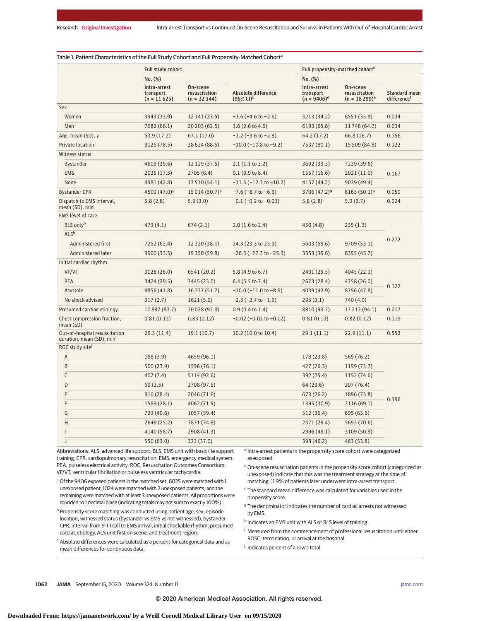|                                                            | <b>Full study cohort</b>                   |                                            |                                                | Full propensity-matched cohort <sup>b</sup> |                                              |                                          |  |
|------------------------------------------------------------|--------------------------------------------|--------------------------------------------|------------------------------------------------|---------------------------------------------|----------------------------------------------|------------------------------------------|--|
|                                                            | No. (%)                                    |                                            |                                                | No. (%)                                     |                                              |                                          |  |
|                                                            | Intra-arrest<br>transport<br>$(n = 11625)$ | On-scene<br>resuscitation<br>$(n = 32344)$ | Absolute difference<br>$(95%$ CI) <sup>c</sup> | Intra-arrest<br>transport<br>$(n = 9406)^d$ | On-scene<br>resuscitation<br>$(n = 18299)^e$ | Standard mean<br>difference <sup>f</sup> |  |
| Sex                                                        |                                            |                                            |                                                |                                             |                                              |                                          |  |
| Women                                                      | 3943 (33.9)                                | 12 141 (37.5)                              | $-3.6$ ( $-4.6$ to $-2.6$ )                    | 3213 (34.2)                                 | 6551 (35.8)                                  | 0.034                                    |  |
| Men                                                        | 7682 (66.1)                                | 20 203 (62.5)                              | $3.6(2.6 \text{ to } 4.6)$                     | 6193 (65.8)                                 | 11748 (64.2)                                 | 0.034                                    |  |
| Age, mean (SD), y                                          | 63.9 (17.2)                                | 67.1(17.0)                                 | $-3.2$ ( $-3.6$ to $-2.8$ )                    | 64.2 (17.2)                                 | 66.8(16.7)                                   | 0.156                                    |  |
| Private location                                           | 9125 (78.5)                                | 28 624 (88.5)                              | $-10.0$ ( $-10.8$ to $-9.2$ )                  | 7537 (80.1)                                 | 15 509 (84.8)                                | 0.122                                    |  |
| Witness status                                             |                                            |                                            |                                                |                                             |                                              |                                          |  |
| Bystander                                                  | 4609 (39.6)                                | 12 129 (37.5)                              | 2.1(1.1 to 3.2)                                | 3692 (39.3)                                 | 7239 (39.6)                                  |                                          |  |
| <b>EMS</b>                                                 | 2035 (17.5)                                | 2705 (8.4)                                 | 9.1(9.9 to 8.4)                                | 1557 (16.6)                                 | 2021 (11.0)                                  | 0.167                                    |  |
| None                                                       | 4981 (42.8)                                | 17 510 (54.1)                              | $-11.3$ ( $-12.3$ to $-10.2$ )                 | 4157 (44.2)                                 | 9039 (49.4)                                  |                                          |  |
| <b>Bystander CPR</b>                                       | 4509 (47.0) <sup>9</sup>                   | 15 014 (50.7) <sup>9</sup>                 | $-7.6$ ( $-8.7$ to $-6.6$ )                    | 3706 (47.2) <sup>9</sup>                    | $8163(50.1)^9$                               | 0.059                                    |  |
| Dispatch to EMS interval,<br>mean (SD), min                | 5.8(2.8)                                   | 5.9(3.0)                                   | $-0.1$ ( $-0.2$ to $-0.03$ )                   | 5.8(2.8)                                    | 5.9(2.7)                                     | 0.024                                    |  |
| <b>EMS</b> level of care                                   |                                            |                                            |                                                |                                             |                                              |                                          |  |
| BLS onlyh                                                  | 473 (4.1)                                  | 674(2.1)                                   | 2.0(1.6 to 2.4)                                | 450(4.8)<br>235(1.3)                        |                                              |                                          |  |
| ALS <sup>h</sup>                                           |                                            |                                            |                                                |                                             |                                              |                                          |  |
| Administered first                                         | 7252 (62.4)                                | 12 320 (38.1)                              | 24.3 (23.3 to 25.3)                            | 5603 (59.6)                                 | 9709 (53.1)                                  | 0.272                                    |  |
| Administered later                                         | 3900 (33.5)                                | 19 350 (59.8)                              | $-26.3$ ( $-27.3$ to $-25.3$ )                 | 3353 (35.6)                                 | 8355 (45.7)                                  |                                          |  |
| Initial cardiac rhythm                                     |                                            |                                            |                                                |                                             |                                              |                                          |  |
| VF/VT                                                      | 3028 (26.0)                                | 6541 (20.2)                                | 5.8 (4.9 to 6.7)                               | 2401 (25.5)                                 | 4045 (22.1)                                  |                                          |  |
| PEA                                                        | 3424 (29.5)                                | 7445 (23.0)                                | $6.4$ (5.5 to 7.4)                             | 2673 (28.4)                                 | 4758 (26.0)                                  | 0.122                                    |  |
| Asystole                                                   | 4856 (41.8)                                | 16737 (51.7)                               | $-10.0$ ( $-11.0$ to $-8.9$ )                  | 4039 (42.9)                                 | 8756 (47.8)                                  |                                          |  |
| No shock advised                                           | 317(2.7)                                   | 1621(5.0)                                  | $-2.3$ ( $-2.7$ to $-1.9$ )                    | 293(3.1)                                    | 740 (4.0)                                    |                                          |  |
| Presumed cardiac etiology                                  | 10 897 (93.7)                              | 30028 (92.8)                               | $0.9(0.4 \text{ to } 1.4)$                     | 8810 (93.7)                                 | 17 213 (94.1)                                | 0.017                                    |  |
| Chest compression fraction,<br>mean (SD)                   | 0.81(0.13)                                 | 0.83(0.12)                                 | $-0.02$ ( $-0.02$ to $-0.02$ )                 | 0.81(0.13)                                  | 0.82(0.12)                                   | 0.119                                    |  |
| Out-of-hospital resuscitation<br>duration, mean (SD), min' | 29.3(11.4)                                 | 19.1(10.7)                                 | 10.2 (10.0 to 10.4)                            | 29.1(11.1)                                  | 22.9(11.1)                                   | 0.552                                    |  |
| ROC study site <sup>j</sup>                                |                                            |                                            |                                                |                                             |                                              |                                          |  |
| A                                                          | 188 (3.9)                                  | 4659 (96.1)                                |                                                | 178 (23.8)                                  | 569 (76.2)                                   |                                          |  |
| B                                                          | 500 (23.9)                                 | 1596 (76.1)                                |                                                | 427 (26.3)                                  | 1199 (73.7)                                  |                                          |  |
| С                                                          | 407(7.4)                                   | 5114 (92.6)                                |                                                | 392 (25.4)                                  | 1152 (74.6)                                  |                                          |  |
| D                                                          | 69(2.5)                                    | 2708 (97.5)                                |                                                | 64 (23.6)                                   | 207(76.4)                                    |                                          |  |
| Ε                                                          | 810 (28.4)                                 | 2046 (71.6)                                |                                                | 673 (26.2)                                  | 1896 (73.8)                                  | 0.396                                    |  |
| F                                                          | 1589 (28.1)                                | 4062 (71.9)                                |                                                | 1395 (30.9)                                 | 3116 (69.1)                                  |                                          |  |
| G                                                          | 723 (40.6)                                 | 1057 (59.4)                                |                                                | 512 (36.4)                                  | 895 (63.6)                                   |                                          |  |
| Н                                                          | 2649 (25.2)                                | 7871 (74.8)                                |                                                | 2371 (29.4)                                 | 5693 (70.6)                                  |                                          |  |
|                                                            | 4140 (58.7)                                | 2908 (41.3)                                |                                                | 2996 (49.1)                                 | 3109 (50.9)                                  |                                          |  |
| $\mathbf{J}$                                               | 550 (63.0)                                 | 323 (37.0)                                 |                                                | 398 (46.2)                                  | 463 (53.8)                                   |                                          |  |

Abbreviations: ALS, advanced life support; BLS, EMS unit with basic life support training; CPR, cardiopulmonary resuscitation; EMS, emergency medical system; PEA, pulseless electrical activity; ROC, Resuscitation Outcomes Consortium; VF/VT, ventricular fibrillation or pulseless ventricular tachycardia.

as exposed. eOn-scene resuscitation patients in the propensity score cohort (categorized as

<sup>a</sup> Of the 9406 exposed patients in the matched set, 6025 were matched with 1 unexposed) indicate that this was the treatment strategy at the time of

unexposed patient, 1024 were matched with 2 unexposed patients, and the remaining were matched with at least 3 unexposed patients. All proportions were rounded to 1 decimal place (indicating totals may not sum to exactly 100%).

b Propensity score matching was conducted using patient age, sex, episode location, witnessed status (bystander vs EMS vs not witnessed), bystander CPR, interval from 9-1-1 call to EMS arrival, initial shockable rhythm, presumed cardiac etiology, ALS unit first on scene, and treatment region.

<sup>c</sup> Absolute differences were calculated as a percent for categorical data and as mean differences for continuous data.

matching; 11.9% of patients later underwent intra-arrest transport. <sup>f</sup> The standard mean difference was calculated for variables used in the

<sup>g</sup> The denominator indicates the number of cardiac arrests not witnessed by EMS.

h Indicates an EMS unit with ALS or BLS level of training.

<sup>i</sup> Measured from the commencement of professional resuscitation until either ROSC, termination, or arrival at the hospital.

<sup>j</sup> Indicates percent of a row's total.

propensity score.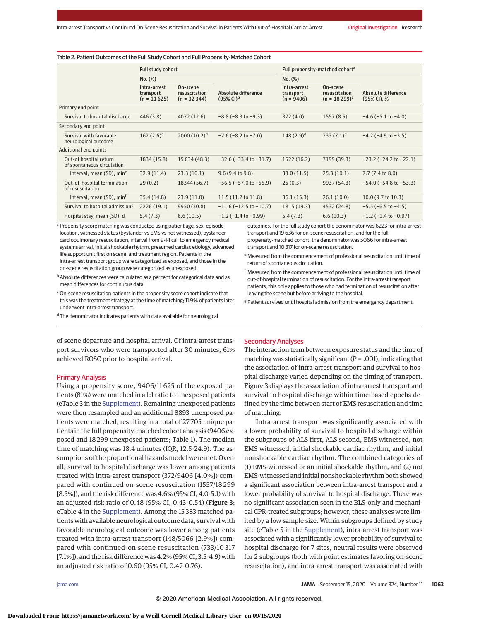#### Table 2. Patient Outcomes of the Full Study Cohort and Full Propensity-Matched Cohort

|                                                      | <b>Full study cohort</b>                   |                                            |                                                       | Full propensity-matched cohort <sup>a</sup> |                                              |                                    |  |
|------------------------------------------------------|--------------------------------------------|--------------------------------------------|-------------------------------------------------------|---------------------------------------------|----------------------------------------------|------------------------------------|--|
|                                                      | No. (%)                                    |                                            |                                                       | No. (%)                                     |                                              |                                    |  |
|                                                      | Intra-arrest<br>transport<br>$(n = 11625)$ | On-scene<br>resuscitation<br>$(n = 32344)$ | Absolute difference<br>$(95\% \text{ Cl})^{\text{b}}$ | Intra-arrest<br>transport<br>$(n = 9406)$   | On-scene<br>resuscitation<br>$(n = 18299)^c$ | Absolute difference<br>(95% CI), % |  |
| Primary end point                                    |                                            |                                            |                                                       |                                             |                                              |                                    |  |
| Survival to hospital discharge                       | 446(3.8)                                   | 4072 (12.6)                                | $-8.8$ ( $-8.3$ to $-9.3$ )                           | 372(4.0)                                    | 1557(8.5)                                    | $-4.6$ ( $-5.1$ to $-4.0$ )        |  |
| Secondary end point                                  |                                            |                                            |                                                       |                                             |                                              |                                    |  |
| Survival with favorable<br>neurological outcome      | 162 $(2.6)^d$                              | 2000 $(10.2)^d$                            | $-7.6$ ( $-8.2$ to $-7.0$ )                           | 148 $(2.9)^d$                               | 733 $(7.1)^d$                                | $-4.2$ ( $-4.9$ to $-3.5$ )        |  |
| Additional end points                                |                                            |                                            |                                                       |                                             |                                              |                                    |  |
| Out-of hospital return<br>of spontaneous circulation | 1834 (15.8)                                | 15 634 (48.3)                              | $-32.6(-33.4$ to $-31.7)$                             | 1522 (16.2)                                 | 7199 (39.3)                                  | $-23.2$ ( $-24.2$ to $-22.1$ )     |  |
| Interval, mean (SD), mine                            | 32.9(11.4)                                 | 23.3(10.1)                                 | 9.6(9.4 to 9.8)                                       | 33.0(11.5)                                  | 25.3(10.1)                                   | $7.7(7.4 \text{ to } 8.0)$         |  |
| Out-of-hospital termination<br>of resuscitation      | 29(0.2)                                    | 18344 (56.7)                               | $-56.5$ ( $-57.0$ to $-55.9$ )                        | 25(0.3)                                     | 9937 (54.3)                                  | $-54.0$ ( $-54.8$ to $-53.3$ )     |  |
| Interval, mean (SD), min <sup>f</sup>                | 35.4 (14.8)                                | 23.9(11.0)                                 | 11.5 (11.2 to 11.8)                                   | 36.1(15.3)                                  | 26.1(10.0)                                   | 10.0 (9.7 to 10.3)                 |  |
| Survival to hospital admission <sup>9</sup>          | 2226(19.1)                                 | 9950 (30.8)                                | $-11.6$ ( $-12.5$ to $-10.7$ )                        | 1815 (19.3)                                 | 4532 (24.8)                                  | $-5.5$ ( $-6.5$ to $-4.5$ )        |  |
| Hospital stay, mean (SD), d                          | 5.4(7.3)                                   | 6.6(10.5)                                  | $-1.2$ ( $-1.4$ to $-0.99$ )                          | 5.4(7.3)                                    | 6.6(10.3)                                    | $-1.2$ ( $-1.4$ to $-0.97$ )       |  |

<sup>a</sup> Propensity score matching was conducted using patient age, sex, episode location, witnessed status (bystander vs EMS vs not witnessed), bystander cardiopulmonary resuscitation, interval from 9-1-1 call to emergency medical systems arrival, initial shockable rhythm, presumed cardiac etiology, advanced life support unit first on scene, and treatment region. Patients in the intra-arrest transport group were categorized as exposed, and those in the on-scene resuscitation group were categorized as unexposed.

- b Absolute differences were calculated as a percent for categorical data and as mean differences for continuous data.
- <sup>c</sup> On-scene resuscitation patients in the propensity score cohort indicate that this was the treatment strategy at the time of matching; 11.9% of patients later underwent intra-arrest transport.
- <sup>d</sup> The denominator indicates patients with data available for neurological

of scene departure and hospital arrival. Of intra-arrest transport survivors who were transported after 30 minutes, 61% achieved ROSC prior to hospital arrival.

#### Primary Analysis

Using a propensity score, 9406/11 625 of the exposed patients (81%) were matched in a 1:1 ratio to unexposed patients (eTable 3 in the [Supplement\)](https://jamanetwork.com/journals/jama/fullarticle/10.1001/jama.2020.14185?utm_campaign=articlePDF%26utm_medium=articlePDFlink%26utm_source=articlePDF%26utm_content=jama.2020.14185). Remaining unexposed patients were then resampled and an additional 8893 unexposed patients were matched, resulting in a total of 27 705 unique patients in the full propensity-matched cohort analysis (9406 exposed and 18 299 unexposed patients; Table 1). The median time of matching was 18.4 minutes (IQR, 12.5-24.9). The assumptions of the proportional hazards model were met. Overall, survival to hospital discharge was lower among patients treated with intra-arrest transport (372/9406 [4.0%]) compared with continued on-scene resuscitation (1557/18 299 [8.5%]), and the risk difference was 4.6% (95% CI, 4.0-5.1) with an adjusted risk ratio of 0.48 (95% CI, 0.43-0.54) (Figure 3; eTable 4 in the [Supplement\)](https://jamanetwork.com/journals/jama/fullarticle/10.1001/jama.2020.14185?utm_campaign=articlePDF%26utm_medium=articlePDFlink%26utm_source=articlePDF%26utm_content=jama.2020.14185). Among the 15 383 matched patients with available neurological outcome data, survival with favorable neurological outcome was lower among patients treated with intra-arrest transport (148/5066 [2.9%]) compared with continued-on scene resuscitation (733/10 317 [7.1%]), and the risk difference was 4.2% (95% CI, 3.5-4.9) with an adjusted risk ratio of 0.60 (95% CI, 0.47-0.76).

outcomes. For the full study cohort the denominator was 6223 for intra-arrest transport and 19 636 for on-scene resuscitation, and for the full propensity-matched cohort, the denominator was 5066 for intra-arrest transport and 10 317 for on-scene resuscitation.

- <sup>e</sup> Measured from the commencement of professional resuscitation until time of return of spontaneous circulation.
- <sup>f</sup> Measured from the commencement of professional resuscitation until time of out-of-hospital termination of resuscitation. For the intra-arrest transport patients, this only applies to those who had termination of resuscitation after leaving the scene but before arriving to the hospital.
- <sup>g</sup> Patient survived until hospital admission from the emergency department.

## Secondary Analyses

The interaction term between exposure status and the time of matching was statistically significant (*P* = .001), indicating that the association of intra-arrest transport and survival to hospital discharge varied depending on the timing of transport. Figure 3 displays the association of intra-arrest transport and survival to hospital discharge within time-based epochs defined by the time between start of EMS resuscitation and time of matching.

Intra-arrest transport was significantly associated with a lower probability of survival to hospital discharge within the subgroups of ALS first, ALS second, EMS witnessed, not EMS witnessed, initial shockable cardiac rhythm, and initial nonshockable cardiac rhythm. The combined categories of (1) EMS-witnessed or an initial shockable rhythm, and (2) not EMS-witnessed and initial nonshockable rhythm both showed a significant association between intra-arrest transport and a lower probability of survival to hospital discharge. There was no significant association seen in the BLS-only and mechanical CPR-treated subgroups; however, these analyses were limited by a low sample size. Within subgroups defined by study site (eTable 5 in the [Supplement\)](https://jamanetwork.com/journals/jama/fullarticle/10.1001/jama.2020.14185?utm_campaign=articlePDF%26utm_medium=articlePDFlink%26utm_source=articlePDF%26utm_content=jama.2020.14185), intra-arrest transport was associated with a significantly lower probability of survival to hospital discharge for 7 sites, neutral results were observed for 2 subgroups (both with point estimates favoring on-scene resuscitation), and intra-arrest transport was associated with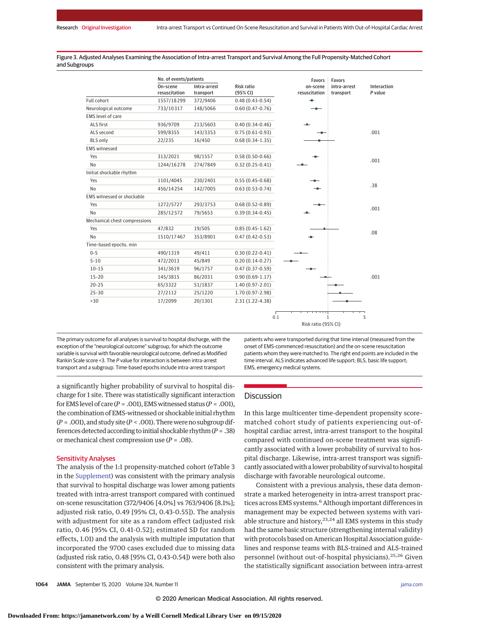Figure 3. Adjusted Analyses Examining the Association of Intra-arrest Transport and Survival Among the Full Propensity-Matched Cohort and Subgroups

|                               | No. of events/patients |              |                     | Favors        | Favors       |             |
|-------------------------------|------------------------|--------------|---------------------|---------------|--------------|-------------|
|                               | On-scene               | Intra-arrest | Risk ratio          | on-scene      | intra-arrest | Interaction |
|                               | resuscitation          | transport    | (95% CI)            | resuscitation | transport    | P value     |
| Full cohort                   | 1557/18299             | 372/9406     | $0.48(0.43 - 0.54)$ | ÷             |              |             |
| Neurological outcome          | 733/10317              | 148/5066     | $0.60(0.47 - 0.76)$ |               |              |             |
| EMS level of care             |                        |              |                     |               |              |             |
| ALS first                     | 936/9709               | 213/5603     | $0.40(0.34-0.46)$   |               |              |             |
| ALS second                    | 599/8355               | 143/3353     | $0.75(0.61-0.93)$   |               |              | .001        |
| <b>BLS only</b>               | 22/235                 | 16/450       | $0.68(0.34-1.35)$   |               |              |             |
| <b>EMS</b> witnessed          |                        |              |                     |               |              |             |
| Yes                           | 313/2021               | 98/1557      | $0.58(0.50-0.66)$   |               |              |             |
| No                            | 1244/16278             | 274/7849     | $0.32(0.25 - 0.41)$ |               |              | .001        |
| Initial shockable rhythm      |                        |              |                     |               |              |             |
| Yes                           | 1101/4045              | 230/2401     | $0.55(0.45-0.68)$   |               |              |             |
| No                            | 456/14254              | 142/7005     | $0.63(0.53-0.74)$   |               |              | .38         |
| EMS witnessed or shockable    |                        |              |                     |               |              |             |
| Yes                           | 1272/5727              | 293/3753     | $0.68(0.52 - 0.89)$ |               |              |             |
| No                            | 285/12572              | 79/5653      | $0.39(0.34-0.45)$   |               |              | .001        |
| Mechanical chest compressions |                        |              |                     |               |              |             |
| Yes                           | 47/832                 | 19/505       | $0.85(0.45-1.62)$   |               |              |             |
| No                            | 1510/17467             | 353/8901     | $0.47(0.42 - 0.53)$ |               |              | .08         |
| Time-based epochs. min        |                        |              |                     |               |              |             |
| $0 - 5$                       | 490/1319               | 49/411       | $0.30(0.22 - 0.41)$ |               |              |             |
| $5 - 10$                      | 472/2013               | 45/849       | $0.20(0.14-0.27)$   |               |              |             |
| $10 - 15$                     | 341/3619               | 96/1757      | $0.47(0.37-0.59)$   |               |              |             |
| $15 - 20$                     | 145/3815               | 86/2031      | $0.90(0.69-1.17)$   |               |              | .001        |
| $20 - 25$                     | 65/3322                | 51/1837      | $1.40(0.97 - 2.01)$ |               |              |             |
| $25 - 30$                     | 27/2112                | 25/1220      | 1.70 (0.97-2.98)    |               |              |             |
| >30                           | 17/2099                | 20/1301      | $2.31(1.22 - 4.38)$ |               |              |             |

The primary outcome for all analyses is survival to hospital discharge, with the exception of the "neurological outcome" subgroup, for which the outcome variable is survival with favorable neurological outcome, defined as Modified Rankin Scale score <3. The P value for interaction is between intra-arrest transport and a subgroup. Time-based epochs include intra-arrest transport

a significantly higher probability of survival to hospital discharge for 1 site. There was statistically significant interaction for EMS level of care  $(P = .001)$ , EMS witnessed status  $(P = .001)$ , the combination of EMS-witnessed or shockable initial rhythm  $(P = .001)$ , and study site  $(P < .001)$ . There were no subgroup differences detected according to initial shockable rhythm (*P* = .38) or mechanical chest compression use (*P* = .08).

## Sensitivity Analyses

The analysis of the 1:1 propensity-matched cohort (eTable 3 in the [Supplement\)](https://jamanetwork.com/journals/jama/fullarticle/10.1001/jama.2020.14185?utm_campaign=articlePDF%26utm_medium=articlePDFlink%26utm_source=articlePDF%26utm_content=jama.2020.14185) was consistent with the primary analysis that survival to hospital discharge was lower among patients treated with intra-arrest transport compared with continued on-scene resuscitation (372/9406 [4.0%] vs 763/9406 [8.1%]; adjusted risk ratio, 0.49 [95% CI, 0.43-0.55]). The analysis with adjustment for site as a random effect (adjusted risk ratio, 0.46 [95% CI, 0.41-0.52]; estimated SD for random effects, 1.01) and the analysis with multiple imputation that incorporated the 9700 cases excluded due to missing data (adjusted risk ratio, 0.48 [95% CI, 0.43-0.54]) were both also consistent with the primary analysis.

patients who were transported during that time interval (measured from the onset of EMS-commenced resuscitation) and the on-scene resuscitation patients whom they were matched to. The right end points are included in the time interval. ALS indicates advanced life support; BLS, basic life support; EMS, emergency medical systems.

Risk ratio (95% CI)

## **Discussion**

In this large multicenter time-dependent propensity score– matched cohort study of patients experiencing out-ofhospital cardiac arrest, intra-arrest transport to the hospital compared with continued on-scene treatment was significantly associated with a lower probability of survival to hospital discharge. Likewise, intra-arrest transport was significantly associatedwith a lower probability of survival to hospital discharge with favorable neurological outcome.

Consistent with a previous analysis, these data demonstrate a marked heterogeneity in intra-arrest transport practices across EMS systems.<sup>6</sup> Although important differences in management may be expected between systems with variable structure and history, $23,24$  all EMS systems in this study had the same basic structure (strengthening internal validity) with protocols based on American Hospital Association guidelines and response teams with BLS-trained and ALS-trained personnel (without out-of-hospital physicians).<sup>25,26</sup> Given the statistically significant association between intra-arrest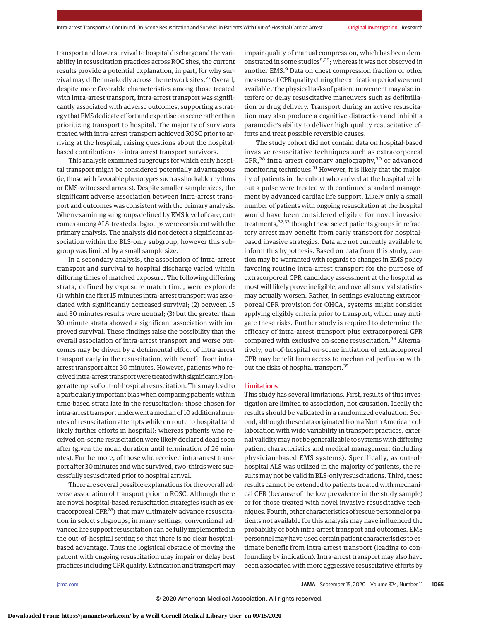transport and lower survival to hospital discharge and the variability in resuscitation practices across ROC sites, the current results provide a potential explanation, in part, for why survival may differ markedly across the network sites.<sup>27</sup> Overall, despite more favorable characteristics among those treated with intra-arrest transport, intra-arrest transport was significantly associated with adverse outcomes, supporting a strategy that EMS dedicate effort and expertise on scene rather than prioritizing transport to hospital. The majority of survivors treated with intra-arrest transport achieved ROSC prior to arriving at the hospital, raising questions about the hospitalbased contributions to intra-arrest transport survivors.

This analysis examined subgroups for which early hospital transport might be considered potentially advantageous (ie, thosewith favorable phenotypes such as shockable rhythms or EMS-witnessed arrests). Despite smaller sample sizes, the significant adverse association between intra-arrest transport and outcomes was consistent with the primary analysis. When examining subgroups defined by EMS level of care, outcomes among ALS-treated subgroups were consistent with the primary analysis. The analysis did not detect a significant association within the BLS-only subgroup, however this subgroup was limited by a small sample size.

In a secondary analysis, the association of intra-arrest transport and survival to hospital discharge varied within differing times of matched exposure. The following differing strata, defined by exposure match time, were explored: (1) within the first 15 minutes intra-arrest transport was associated with significantly decreased survival; (2) between 15 and 30 minutes results were neutral; (3) but the greater than 30-minute strata showed a significant association with improved survival. These findings raise the possibility that the overall association of intra-arrest transport and worse outcomes may be driven by a detrimental effect of intra-arrest transport early in the resuscitation, with benefit from intraarrest transport after 30 minutes. However, patients who received intra-arrest transport were treated with significantly longer attempts of out-of-hospital resuscitation. This may lead to a particularly important bias when comparing patients within time-based strata late in the resuscitation: those chosen for intra-arrest transport underwent a median of 10 additional minutes of resuscitation attempts while en route to hospital (and likely further efforts in hospital); whereas patients who received on-scene resuscitation were likely declared dead soon after (given the mean duration until termination of 26 minutes). Furthermore, of those who received intra-arrest transport after 30 minutes and who survived, two-thirds were successfully resuscitated prior to hospital arrival.

There are several possible explanations for the overall adverse association of transport prior to ROSC. Although there are novel hospital-based resuscitation strategies (such as extracorporeal  $CPR^{28}$ ) that may ultimately advance resuscitation in select subgroups, in many settings, conventional advanced life support resuscitation can be fully implemented in the out-of-hospital setting so that there is no clear hospitalbased advantage. Thus the logistical obstacle of moving the patient with ongoing resuscitation may impair or delay best practices including CPR quality. Extrication and transportmay impair quality of manual compression, which has been demonstrated in some studies<sup>8,29</sup>; whereas it was not observed in another EMS.<sup>9</sup> Data on chest compression fraction or other measures of CPR quality during the extrication period were not available. The physical tasks of patient movement may also interfere or delay resuscitative maneuvers such as defibrillation or drug delivery. Transport during an active resuscitation may also produce a cognitive distraction and inhibit a paramedic's ability to deliver high-quality resuscitative efforts and treat possible reversible causes.

The study cohort did not contain data on hospital-based invasive resuscitative techniques such as extracorporeal CPR,<sup>28</sup> intra-arrest coronary angiography,<sup>30</sup> or advanced monitoring techniques.<sup>31</sup> However, it is likely that the majority of patients in the cohort who arrived at the hospital without a pulse were treated with continued standard management by advanced cardiac life support. Likely only a small number of patients with ongoing resuscitation at the hospital would have been considered eligible for novel invasive treatments,<sup>32,33</sup> though these select patients groups in refractory arrest may benefit from early transport for hospitalbased invasive strategies. Data are not currently available to inform this hypothesis. Based on data from this study, caution may be warranted with regards to changes in EMS policy favoring routine intra-arrest transport for the purpose of extracorporeal CPR candidacy assessment at the hospital as most will likely prove ineligible, and overall survival statistics may actually worsen. Rather, in settings evaluating extracorporeal CPR provision for OHCA, systems might consider applying eligibly criteria prior to transport, which may mitigate these risks. Further study is required to determine the efficacy of intra-arrest transport plus extracorporeal CPR compared with exclusive on-scene resuscitation.<sup>34</sup> Alternatively, out-of-hospital on-scene initiation of extracorporeal CPR may benefit from access to mechanical perfusion without the risks of hospital transport.35

#### Limitations

This study has several limitations. First, results of this investigation are limited to association, not causation. Ideally the results should be validated in a randomized evaluation. Second, although these data originated from a North American collaboration with wide variability in transport practices, external validity may not be generalizable to systems with differing patient characteristics and medical management (including physician-based EMS systems). Specifically, as out-ofhospital ALS was utilized in the majority of patients, the results may not be valid in BLS-only resuscitations. Third, these results cannot be extended to patients treated with mechanical CPR (because of the low prevalence in the study sample) or for those treated with novel invasive resuscitative techniques. Fourth, other characteristics of rescue personnel or patients not available for this analysis may have influenced the probability of both intra-arrest transport and outcomes. EMS personnel may have used certain patient characteristics to estimate benefit from intra-arrest transport (leading to confounding by indication). Intra-arrest transport may also have been associated with more aggressive resuscitative efforts by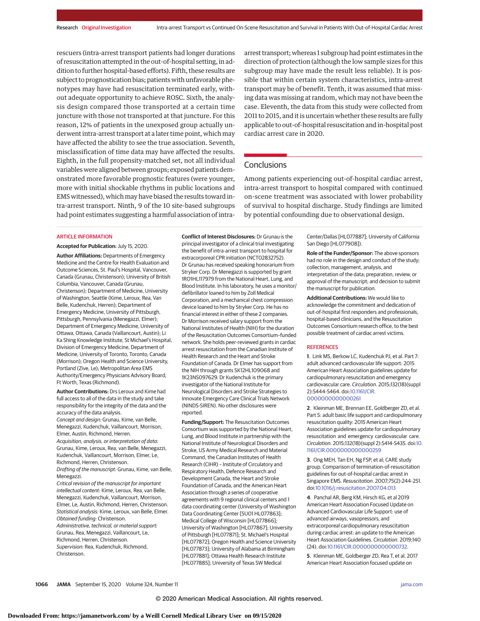rescuers (intra-arrest transport patients had longer durations of resuscitation attempted in the out-of-hospital setting, in addition to further hospital-based efforts). Fifth, these results are subject to prognostication bias; patients with unfavorable phenotypes may have had resuscitation terminated early, without adequate opportunity to achieve ROSC. Sixth, the analysis design compared those transported at a certain time juncture with those not transported at that juncture. For this reason, 12% of patients in the unexposed group actually underwent intra-arrest transport at a later time point, which may have affected the ability to see the true association. Seventh, misclassification of time data may have affected the results. Eighth, in the full propensity-matched set, not all individual variables were aligned between groups; exposed patients demonstrated more favorable prognostic features (were younger, more with initial shockable rhythms in public locations and EMS witnessed), which may have biased the results toward intra-arrest transport. Ninth, 9 of the 10 site-based subgroups had point estimates suggesting a harmful association of intraarrest transport; whereas 1 subgroup had point estimates in the direction of protection (although the low sample sizes for this subgroup may have made the result less reliable). It is possible that within certain system characteristics, intra-arrest transport may be of benefit. Tenth, it was assumed that missing data was missing at random, which may not have been the case. Eleventh, the data from this study were collected from 2011 to 2015, and it is uncertain whether these results are fully applicable to out-of-hospital resuscitation and in-hospital post cardiac arrest care in 2020.

## Conclusions

Among patients experiencing out-of-hospital cardiac arrest, intra-arrest transport to hospital compared with continued on-scene treatment was associated with lower probability of survival to hospital discharge. Study findings are limited by potential confounding due to observational design.

#### **ARTICLE INFORMATION**

**Accepted for Publication:** July 15, 2020. **Author Affiliations:** Departments of Emergency Medicine and the Centre for Health Evaluation and Outcome Sciences, St. Paul's Hospital, Vancouver, Canada (Grunau, Christenson); University of British Columbia, Vancouver, Canada (Grunau, Christenson); Department of Medicine, University of Washington, Seattle (Kime, Leroux, Rea, Van Belle, Kudenchuk, Herren); Department of Emergency Medicine, University of Pittsburgh, Pittsburgh, Pennsylvania (Menegazzi, Elmer); Department of Emergency Medicine, University of Ottawa, Ottawa, Canada (Vaillancourt, Austin); Li Ka Shing Knowledge Institute, St Michael's Hospital, Division of Emergency Medicine, Department of Medicine, University of Toronto, Toronto, Canada (Morrison); Oregon Health and Science University, Portland (Zive, Le); Metropolitan Area EMS Authority/Emergency Physicians Advisory Board, Ft Worth, Texas (Richmond).

**Author Contributions:** Drs Leroux and Kime had full access to all of the data in the study and take responsibility for the integrity of the data and the accuracy of the data analysis. Concept and design: Grunau, Kime, van Belle,

Menegazzi, Kudenchuk, Vaillancourt, Morrison, Elmer, Austin, Richmond, Herren. Acquisition, analysis, or interpretation of data: Grunau, Kime, Leroux, Rea, van Belle, Menegazzi, Kudenchuk, Vaillancourt, Morrison, Elmer, Le,

Richmond, Herren, Christenson. Drafting of the manuscript: Grunau, Kime, van Belle, Menegazzi.

Critical revision of the manuscript for important intellectual content: Kime, Leroux, Rea, van Belle, Menegazzi, Kudenchuk, Vaillancourt, Morrison, Elmer, Le, Austin, Richmond, Herren, Christenson. Statistical analysis: Kime, Leroux, van Belle, Elmer. Obtained funding: Christenson. Administrative, technical, or material support: Grunau, Rea, Menegazzi, Vaillancourt, Le, Richmond, Herren, Christenson. Supervision: Rea, Kudenchuk, Richmond, Christenson.

**Conflict of Interest Disclosures:** Dr Grunau is the principal investigator of a clinical trial investigating the benefit of intra-arrest transport to hospital for extracorporeal CPR initiation (NCT02832752). Dr Grunau has received speaking honorarium from Stryker Corp. Dr Menegazzi is supported by grant 1RO1HL117979 from the National Heart, Lung, and Blood Institute. In his laboratory, he uses a monitor/ defibrillator loaned to him by Zoll Medical Corporation, and a mechanical chest compression device loaned to him by Stryker Corp. He has no financial interest in either of these 2 companies. Dr Morrison received salary support from the National Institutes of Health (NIH) for the duration of the Resuscitation Outcomes Consortium–funded network. She holds peer-reviewed grants in cardiac arrest resuscitation from the Canadian Institute of Health Research and the Heart and Stroke Foundation of Canada. Dr Elmer has support from the NIH through grants 5K12HL109068 and 1K23NS097629. Dr Kudenchuk is the primary investigator of the National Institute for Neurological Disorders and Stroke Strategies to Innovate Emergency Care Clinical Trials Network (NINDS-SIREN). No other disclosures were reported.

**Funding/Support:** The Resuscitation Outcomes Consortium was supported by the National Heart, Lung, and Blood Institute in partnership with the National Institute of Neurological Disorders and Stroke, US Army Medical Research and Material Command, the Canadian Institutes of Health Research (CIHR) – Institute of Circulatory and Respiratory Health, Defence Research and Development Canada, the Heart and Stroke Foundation of Canada, and the American Heart Association through a series of cooperative agreements with 9 regional clinical centers and 1 data coordinating center (University of Washington Data Coordinating Center [5U01 HL077863]; Medical College of Wisconsin [HL077866]; University of Washington [HL077867]; University of Pittsburgh [HL077871]; St. Michael's Hospital [HL077872]; Oregon Health and Science University [HL077873]; University of Alabama at Birmingham [HL077881]; Ottawa Health Research Institute [HL077885]; University of Texas SW Medical

Center/Dallas [HL077887]; University of California San Diego [HL077908]).

**Role of the Funder/Sponsor:** The above sponsors had no role in the design and conduct of the study; collection, management, analysis, and interpretation of the data; preparation, review, or approval of the manuscript; and decision to submit the manuscript for publication.

**Additional Contributions:** We would like to acknowledge the commitment and dedication of out-of-hospital first responders and professionals, hospital-based clinicians, and the Resuscitation Outcomes Consortium research office, to the best possible treatment of cardiac arrest victims.

#### **REFERENCES**

**1**. Link MS, Berkow LC, Kudenchuk PJ, et al. Part 7: adult advanced cardiovascular life support: 2015 American Heart Association guidelines update for cardiopulmonary resuscitation and emergency cardiovascular care. Circulation. 2015;132(18)(suppl 2):S444-S464. doi[:10.1161/CIR.](https://dx.doi.org/10.1161/CIR.0000000000000261) [0000000000000261](https://dx.doi.org/10.1161/CIR.0000000000000261)

**2**. Kleinman ME, Brennan EE, Goldberger ZD, et al. Part 5: adult basic life support and cardiopulmonary resuscitation quality: 2015 American Heart Association guidelines update for cardiopulmonary resuscitation and emergency cardiovascular care. Circulation. 2015;132(18)(suppl 2):S414-S435. doi[:10.](https://dx.doi.org/10.1161/CIR.0000000000000259) [1161/CIR.0000000000000259](https://dx.doi.org/10.1161/CIR.0000000000000259)

**3**. Ong MEH, Tan EH, Ng FSP, et al; CARE study group. Comparison of termination-of-resuscitation guidelines for out-of-hospital cardiac arrest in Singapore EMS. Resuscitation. 2007;75(2):244-251. doi[:10.1016/j.resuscitation.2007.04.013](https://dx.doi.org/10.1016/j.resuscitation.2007.04.013)

**4**. Panchal AR, Berg KM, Hirsch KG, et al 2019 American Heart Association Focused Update on Advanced Cardiovascular Life Support: use of advanced airways, vasopressors, and extracorporeal cardiopulmonary resuscitation during cardiac arrest: an update to the American Heart Association Guidelines. Circulation. 2019;140 (24). doi[:10.1161/CIR.0000000000000732.](https://dx.doi.org/10.1161/CIR.0000000000000732)

**5**. Kleinman ME, Goldberger ZD, Rea T, et al. 2017 American Heart Association focused update on